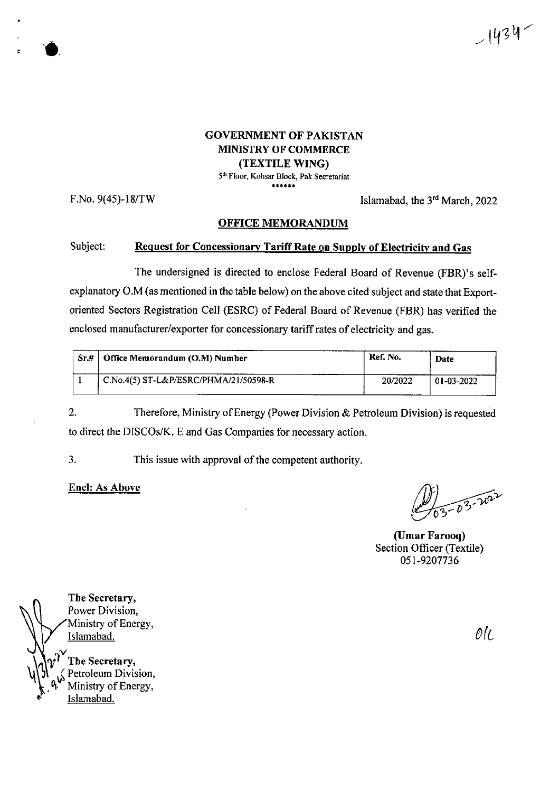

## GOVERNMENT OF PAKISTAN MINISTRY OF COMMERCE (TEXTILE WING)

5th Floor, Kohsar Block, Pak Secretariat \*\*\*\*\*\*

F.No.  $9(45)$ -18/TW Islamabad, the  $3<sup>rd</sup>$  March, 2022

### OFFICE MEMORANDUM

### Subject: Request for Concessionary Tariff Rate on Supply of Electricity and Gas

The undersigned is directed to enclose Federal Board of Revenue (FBR)'s selfexplanatory O.M (as mentioned in the table below) on the above cited subject and state that Exportoriented Sectors Registration Cell (ESRC) of Federal Board of Revenue (FBR) has verified the enclosed manufacturer/exporter for concessionary tariff rates of electricity and gas.

| Sr.H | Office Memorandum (O.M) Number        | Ref. No. | Date       |
|------|---------------------------------------|----------|------------|
|      | C.No.4(5) ST-L&P/ESRC/PHMA/21/50598-R | 20/2022  | 01-03-2022 |

Therefore, Ministry of Energy (Power Division & Petroleum Division) is requested to direct the DISCOs/K. E and Gas Companies for necessary action. 2.

3. This issue with approval of the competent authority.

**Enel:** As **Above**

 $3 - 03 - 1022$ 

**(Umar Farooq)** Section Officer (Textile) 051-9207736

The Secretary, Power Division, Ministry of Energy,<br>Islamabad. Islamabad. *®(c*  $\frac{1}{2}$ The Secretary, Petroleum Division, Ministry of Energy, Islamabad.